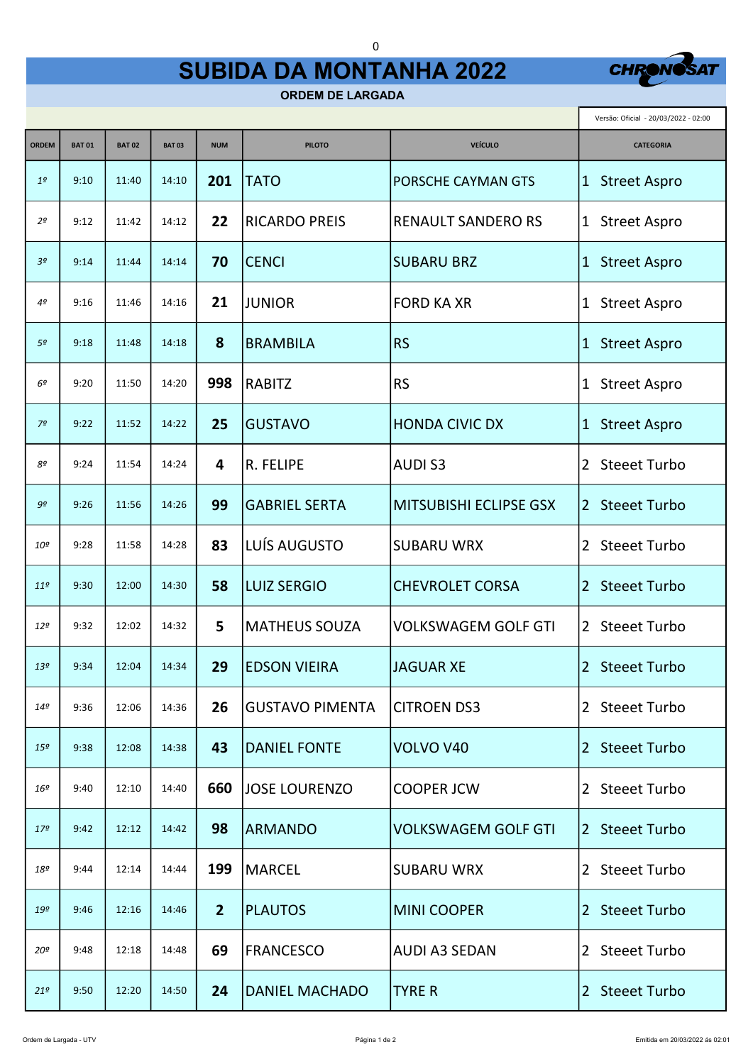## SUBIDA DA MONTANHA 2022

0



г

ORDEM DE LARGADA

|                 |              |              | Versão: Oficial - 20/03/2022 - 02:00 |                |                        |                               |                                     |
|-----------------|--------------|--------------|--------------------------------------|----------------|------------------------|-------------------------------|-------------------------------------|
| <b>ORDEM</b>    | <b>BAT01</b> | <b>BAT02</b> | <b>BAT03</b>                         | <b>NUM</b>     | <b>PILOTO</b>          | <b>VEÍCULO</b>                | <b>CATEGORIA</b>                    |
| 1 <sup>o</sup>  | 9:10         | 11:40        | 14:10                                | 201            | <b>TATO</b>            | <b>PORSCHE CAYMAN GTS</b>     | 1 Street Aspro                      |
| 2 <sup>o</sup>  | 9:12         | 11:42        | 14:12                                | 22             | <b>RICARDO PREIS</b>   | <b>RENAULT SANDERO RS</b>     | 1 Street Aspro                      |
| 3 <sup>o</sup>  | 9:14         | 11:44        | 14:14                                | 70             | <b>CENCI</b>           | <b>SUBARU BRZ</b>             | 1 Street Aspro                      |
| 4º              | 9:16         | 11:46        | 14:16                                | 21             | <b>JUNIOR</b>          | <b>FORD KA XR</b>             | 1 Street Aspro                      |
| 5 <sup>o</sup>  | 9:18         | 11:48        | 14:18                                | 8              | <b>BRAMBILA</b>        | <b>RS</b>                     | <b>Street Aspro</b><br>$\mathbf{1}$ |
| 6º              | 9:20         | 11:50        | 14:20                                | 998            | <b>RABITZ</b>          | <b>RS</b>                     | 1 Street Aspro                      |
| 7 <sup>o</sup>  | 9:22         | 11:52        | 14:22                                | 25             | <b>GUSTAVO</b>         | <b>HONDA CIVIC DX</b>         | 1 Street Aspro                      |
| 8º              | 9:24         | 11:54        | 14:24                                | 4              | R. FELIPE              | <b>AUDIS3</b>                 | <b>Steeet Turbo</b><br>2            |
| 9º              | 9:26         | 11:56        | 14:26                                | 99             | <b>GABRIEL SERTA</b>   | <b>MITSUBISHI ECLIPSE GSX</b> | 2 Steeet Turbo                      |
| 10 <sup>o</sup> | 9:28         | 11:58        | 14:28                                | 83             | LUÍS AUGUSTO           | <b>SUBARU WRX</b>             | 2 Steeet Turbo                      |
| 11 <sup>o</sup> | 9:30         | 12:00        | 14:30                                | 58             | <b>LUIZ SERGIO</b>     | <b>CHEVROLET CORSA</b>        | <b>Steeet Turbo</b><br>2            |
| 12 <sup>o</sup> | 9:32         | 12:02        | 14:32                                | 5              | <b>MATHEUS SOUZA</b>   | <b>VOLKSWAGEM GOLF GTI</b>    | 2 Steeet Turbo                      |
| 13 <sup>o</sup> | 9:34         | 12:04        | 14:34                                | 29             | <b>EDSON VIEIRA</b>    | <b>JAGUAR XE</b>              | 2 Steeet Turbo                      |
| $14^{\circ}$    | 9:36         | 12:06        | 14:36                                | 26             | <b>GUSTAVO PIMENTA</b> | <b>CITROEN DS3</b>            | 2 Steeet Turbo                      |
| 15 <sup>o</sup> | 9:38         | 12:08        | 14:38                                | 43             | <b>DANIEL FONTE</b>    | VOLVO V40                     | 2 Steeet Turbo                      |
| 16º             | 9:40         | 12:10        | 14:40                                | 660            | <b>JOSE LOURENZO</b>   | <b>COOPER JCW</b>             | 2 Steeet Turbo                      |
| 179             | 9:42         | 12:12        | 14:42                                | 98             | <b>ARMANDO</b>         | <b>VOLKSWAGEM GOLF GTI</b>    | 2 Steeet Turbo                      |
| 18º             | 9:44         | 12:14        | 14:44                                | 199            | <b>MARCEL</b>          | <b>SUBARU WRX</b>             | 2 Steeet Turbo                      |
| 19 <sup>o</sup> | 9:46         | 12:16        | 14:46                                | $\overline{2}$ | <b>PLAUTOS</b>         | <b>MINI COOPER</b>            | 2 Steeet Turbo                      |
| 20º             | 9:48         | 12:18        | 14:48                                | 69             | <b>FRANCESCO</b>       | <b>AUDI A3 SEDAN</b>          | 2 Steeet Turbo                      |
| $21^{\circ}$    | 9:50         | 12:20        | 14:50                                | 24             | <b>DANIEL MACHADO</b>  | <b>TYRE R</b>                 | 2 Steeet Turbo                      |